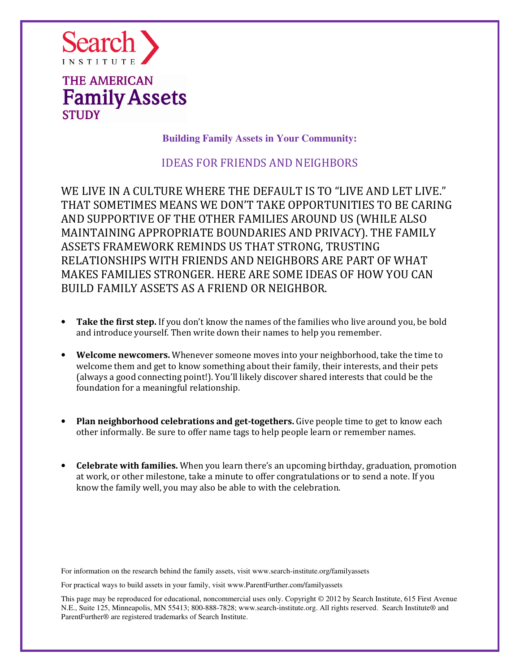

**Building Family Assets in Your Community:** 

## IDEAS FOR FRIENDS AND NEIGHBORS

WE LIVE IN A CULTURE WHERE THE DEFAULT IS TO "LIVE AND LET LIVE." THAT SOMETIMES MEANS WE DON'T TAKE OPPORTUNITIES TO BE CARING AND SUPPORTIVE OF THE OTHER FAMILIES AROUND US (WHILE ALSO MAINTAINING APPROPRIATE BOUNDARIES AND PRIVACY). THE FAMILY ASSETS FRAMEWORK REMINDS US THAT STRONG, TRUSTING RELATIONSHIPS WITH FRIENDS AND NEIGHBORS ARE PART OF WHAT MAKES FAMILIES STRONGER. HERE ARE SOME IDEAS OF HOW YOU CAN BUILD FAMILY ASSETS AS A FRIEND OR NEIGHBOR.

- Take the first step. If you don't know the names of the families who live around you, be bold and introduce yourself. Then write down their names to help you remember.
- Welcome newcomers. Whenever someone moves into your neighborhood, take the time to welcome them and get to know something about their family, their interests, and their pets (always a good connecting point!). You'll likely discover shared interests that could be the foundation for a meaningful relationship.
- Plan neighborhood celebrations and get-togethers. Give people time to get to know each other informally. Be sure to offer name tags to help people learn or remember names.
- Celebrate with families. When you learn there's an upcoming birthday, graduation, promotion at work, or other milestone, take a minute to offer congratulations or to send a note. If you know the family well, you may also be able to with the celebration.

For information on the research behind the family assets, visit www.search-institute.org/familyassets

For practical ways to build assets in your family, visit www.ParentFurther.com/familyassets

This page may be reproduced for educational, noncommercial uses only. Copyright © 2012 by Search Institute, 615 First Avenue N.E., Suite 125, Minneapolis, MN 55413; 800-888-7828; www.search-institute.org. All rights reserved. Search Institute® and ParentFurther® are registered trademarks of Search Institute.